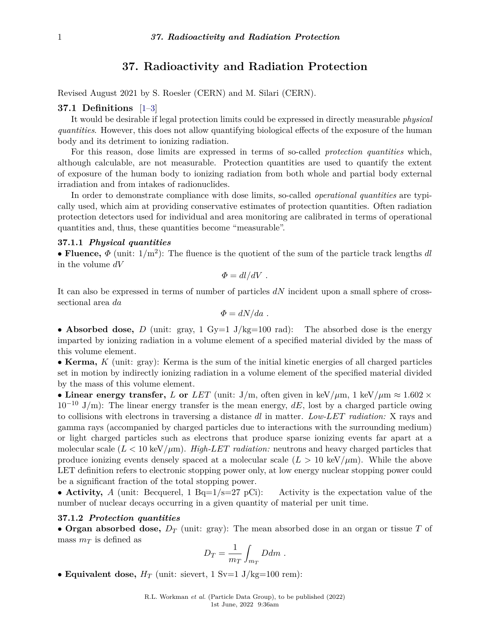# **37. Radioactivity and Radiation Protection**

Revised August 2021 by S. Roesler (CERN) and M. Silari (CERN).

# **37.1 Definitions** [\[1](#page-13-0)[–3\]](#page-13-1)

It would be desirable if legal protection limits could be expressed in directly measurable *physical quantities*. However, this does not allow quantifying biological effects of the exposure of the human body and its detriment to ionizing radiation.

For this reason, dose limits are expressed in terms of so-called *protection quantities* which, although calculable, are not measurable. Protection quantities are used to quantify the extent of exposure of the human body to ionizing radiation from both whole and partial body external irradiation and from intakes of radionuclides.

In order to demonstrate compliance with dose limits, so-called *operational quantities* are typically used, which aim at providing conservative estimates of protection quantities. Often radiation protection detectors used for individual and area monitoring are calibrated in terms of operational quantities and, thus, these quantities become "measurable".

# **37.1.1** *Physical quantities*

• **Fluence**,  $\Phi$  (unit:  $1/m^2$ ): The fluence is the quotient of the sum of the particle track lengths *dl* in the volume *dV*

$$
\Phi = dl/dV.
$$

It can also be expressed in terms of number of particles *dN* incident upon a small sphere of crosssectional area *da*

$$
\Phi = dN/da \; .
$$

• **Absorbed dose,** *D* (unit: gray, 1 Gy=1 J/kg=100 rad): The absorbed dose is the energy imparted by ionizing radiation in a volume element of a specified material divided by the mass of this volume element.

• **Kerma,** *K* (unit: gray): Kerma is the sum of the initial kinetic energies of all charged particles set in motion by indirectly ionizing radiation in a volume element of the specified material divided by the mass of this volume element.

• Linear energy transfer, *L* or *LET* (unit: J/m, often given in keV/ $\mu$ m, 1 keV/ $\mu$ m  $\approx 1.602 \times$  $10^{-10}$  J/m): The linear energy transfer is the mean energy,  $dE$ , lost by a charged particle owing to collisions with electrons in traversing a distance *dl* in matter. *Low-LET radiation:* X rays and gamma rays (accompanied by charged particles due to interactions with the surrounding medium) or light charged particles such as electrons that produce sparse ionizing events far apart at a molecular scale  $(L < 10 \text{ keV}/\mu\text{m})$ . *High-LET radiation:* neutrons and heavy charged particles that produce ionizing events densely spaced at a molecular scale  $(L > 10 \text{ keV}/\mu\text{m})$ . While the above LET definition refers to electronic stopping power only, at low energy nuclear stopping power could be a significant fraction of the total stopping power.

• **Activity,** *A* (unit: Becquerel, 1 Bq=1/s=27 pCi): Activity is the expectation value of the number of nuclear decays occurring in a given quantity of material per unit time.

#### **37.1.2** *Protection quantities*

• **Organ absorbed dose,** *D<sup>T</sup>* (unit: gray): The mean absorbed dose in an organ or tissue *T* of mass *m<sup>T</sup>* is defined as

$$
D_T = \frac{1}{m_T} \int_{m_T} Ddm.
$$

• **Equivalent dose,**  $H_T$  (unit: sievert, 1 Sv=1 J/kg=100 rem):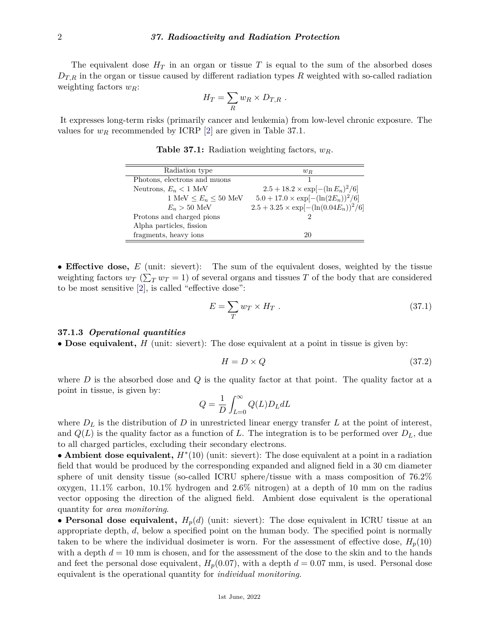The equivalent dose  $H_T$  in an organ or tissue T is equal to the sum of the absorbed doses  $D_{T,R}$  in the organ or tissue caused by different radiation types R weighted with so-called radiation weighting factors *wR*:

$$
H_T = \sum_R w_R \times D_{T,R} .
$$

It expresses long-term risks (primarily cancer and leukemia) from low-level chronic exposure. The values for  $w_R$  recommended by ICRP [\[2\]](#page-13-2) are given in Table 37.1.

| Radiation type               | $w_R$                                         |
|------------------------------|-----------------------------------------------|
| Photons, electrons and muons |                                               |
| Neutrons, $E_n < 1$ MeV      | $2.5 + 18.2 \times \exp[-(\ln E_n)^2/6]$      |
| 1 MeV $\le E_n \le 50$ MeV   | $5.0 + 17.0 \times \exp[-(\ln(2E_n))^2/6]$    |
| $E_n > 50$ MeV               | $2.5 + 3.25 \times \exp[-(\ln(0.04E_n))^2/6]$ |
| Protons and charged pions    | ച                                             |
| Alpha particles, fission     |                                               |
| fragments, heavy ions        | 20                                            |

**Table 37.1:** Radiation weighting factors, *wR*.

• **Effective dose,** *E* (unit: sievert): The sum of the equivalent doses, weighted by the tissue weighting factors  $w_T$  ( $\sum_T w_T = 1$ ) of several organs and tissues *T* of the body that are considered to be most sensitive [\[2\]](#page-13-2), is called "effective dose":

$$
E = \sum_{T} w_T \times H_T \tag{37.1}
$$

#### **37.1.3** *Operational quantities*

• **Dose equivalent,** *H* (unit: sievert): The dose equivalent at a point in tissue is given by:

$$
H = D \times Q \tag{37.2}
$$

where *D* is the absorbed dose and *Q* is the quality factor at that point. The quality factor at a point in tissue, is given by:

$$
Q = \frac{1}{D} \int_{L=0}^{\infty} Q(L) D_L dL
$$

where  $D_L$  is the distribution of  $D$  in unrestricted linear energy transfer  $L$  at the point of interest, and  $Q(L)$  is the quality factor as a function of L. The integration is to be performed over  $D_L$ , due to all charged particles, excluding their secondary electrons.

• **Ambient dose equivalent,** *H*<sup>∗</sup> (10) (unit: sievert): The dose equivalent at a point in a radiation field that would be produced by the corresponding expanded and aligned field in a 30 cm diameter sphere of unit density tissue (so-called ICRU sphere/tissue with a mass composition of 76.2% oxygen, 11.1% carbon, 10.1% hydrogen and 2.6% nitrogen) at a depth of 10 mm on the radius vector opposing the direction of the aligned field. Ambient dose equivalent is the operational quantity for *area monitoring*.

• **Personal dose equivalent,**  $H_p(d)$  (unit: sievert): The dose equivalent in ICRU tissue at an appropriate depth, *d*, below a specified point on the human body. The specified point is normally taken to be where the individual dosimeter is worn. For the assessment of effective dose,  $H_p(10)$ with a depth  $d = 10$  mm is chosen, and for the assessment of the dose to the skin and to the hands and feet the personal dose equivalent,  $H_p(0.07)$ , with a depth  $d = 0.07$  mm, is used. Personal dose equivalent is the operational quantity for *individual monitoring*.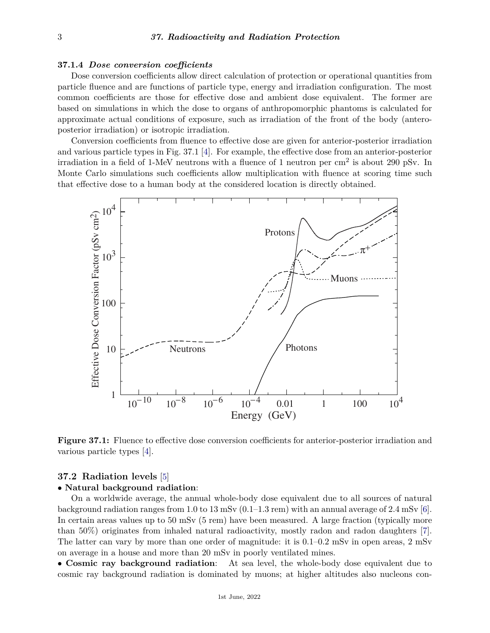# **37.1.4** *Dose conversion coefficients*

Dose conversion coefficients allow direct calculation of protection or operational quantities from particle fluence and are functions of particle type, energy and irradiation configuration. The most common coefficients are those for effective dose and ambient dose equivalent. The former are based on simulations in which the dose to organs of anthropomorphic phantoms is calculated for approximate actual conditions of exposure, such as irradiation of the front of the body (anteroposterior irradiation) or isotropic irradiation.

Conversion coefficients from fluence to effective dose are given for anterior-posterior irradiation and various particle types in Fig. 37.1 [\[4\]](#page-13-3). For example, the effective dose from an anterior-posterior irradiation in a field of 1-MeV neutrons with a fluence of 1 neutron per  $\text{cm}^2$  is about 290 pSv. In Monte Carlo simulations such coefficients allow multiplication with fluence at scoring time such that effective dose to a human body at the considered location is directly obtained.



**Figure 37.1:** Fluence to effective dose conversion coefficients for anterior-posterior irradiation and various particle types [\[4\]](#page-13-3).

# **37.2 Radiation levels** [\[5\]](#page-13-4)

# • **Natural background radiation**:

On a worldwide average, the annual whole-body dose equivalent due to all sources of natural background radiation ranges from 1.0 to 13 mSv  $(0.1-1.3 \text{ rem})$  with an annual average of 2.4 mSv [\[6\]](#page-13-5). In certain areas values up to 50 mSv (5 rem) have been measured. A large fraction (typically more than 50%) originates from inhaled natural radioactivity, mostly radon and radon daughters [\[7\]](#page-13-6). The latter can vary by more than one order of magnitude: it is 0.1–0.2 mSv in open areas, 2 mSv on average in a house and more than 20 mSv in poorly ventilated mines.

• **Cosmic ray background radiation**: At sea level, the whole-body dose equivalent due to cosmic ray background radiation is dominated by muons; at higher altitudes also nucleons con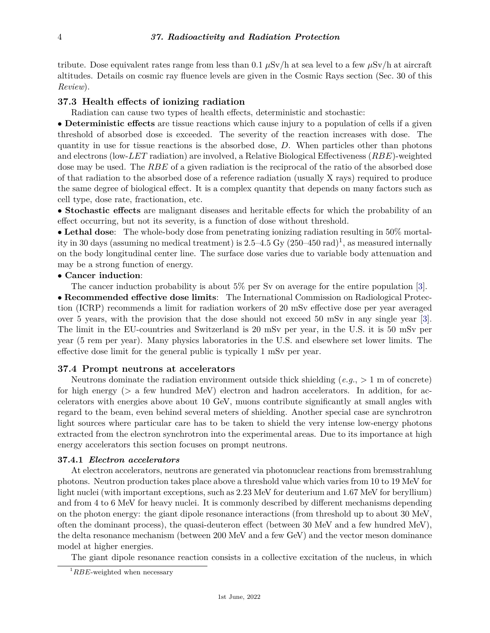tribute. Dose equivalent rates range from less than 0.1  $\mu$ Sv/h at sea level to a few  $\mu$ Sv/h at aircraft altitudes. Details on cosmic ray fluence levels are given in the Cosmic Rays section (Sec. 30 of this *Review*).

# **37.3 Health effects of ionizing radiation**

Radiation can cause two types of health effects, deterministic and stochastic:

• **Deterministic effects** are tissue reactions which cause injury to a population of cells if a given threshold of absorbed dose is exceeded. The severity of the reaction increases with dose. The quantity in use for tissue reactions is the absorbed dose, *D*. When particles other than photons and electrons (low-*LET* radiation) are involved, a Relative Biological Effectiveness (*RBE*)-weighted dose may be used. The *RBE* of a given radiation is the reciprocal of the ratio of the absorbed dose of that radiation to the absorbed dose of a reference radiation (usually X rays) required to produce the same degree of biological effect. It is a complex quantity that depends on many factors such as cell type, dose rate, fractionation, etc.

• **Stochastic effects** are malignant diseases and heritable effects for which the probability of an effect occurring, but not its severity, is a function of dose without threshold.

• **Lethal dose**: The whole-body dose from penetrating ionizing radiation resulting in 50% mortality in 30 days (assuming no medical treatment) is 2.5–4.5 Gy  $(250-450 \text{ rad})^1$  $(250-450 \text{ rad})^1$ , as measured internally on the body longitudinal center line. The surface dose varies due to variable body attenuation and may be a strong function of energy.

## • **Cancer induction**:

The cancer induction probability is about 5% per Sv on average for the entire population [\[3\]](#page-13-1).

• **Recommended effective dose limits**: The International Commission on Radiological Protection (ICRP) recommends a limit for radiation workers of 20 mSv effective dose per year averaged over 5 years, with the provision that the dose should not exceed 50 mSv in any single year [\[3\]](#page-13-1). The limit in the EU-countries and Switzerland is 20 mSv per year, in the U.S. it is 50 mSv per year (5 rem per year). Many physics laboratories in the U.S. and elsewhere set lower limits. The effective dose limit for the general public is typically 1 mSv per year.

# **37.4 Prompt neutrons at accelerators**

Neutrons dominate the radiation environment outside thick shielding (*e.g.*, *>* 1 m of concrete) for high energy (*>* a few hundred MeV) electron and hadron accelerators. In addition, for accelerators with energies above about 10 GeV, muons contribute significantly at small angles with regard to the beam, even behind several meters of shielding. Another special case are synchrotron light sources where particular care has to be taken to shield the very intense low-energy photons extracted from the electron synchrotron into the experimental areas. Due to its importance at high energy accelerators this section focuses on prompt neutrons.

#### **37.4.1** *Electron accelerators*

At electron accelerators, neutrons are generated via photonuclear reactions from bremsstrahlung photons. Neutron production takes place above a threshold value which varies from 10 to 19 MeV for light nuclei (with important exceptions, such as 2.23 MeV for deuterium and 1.67 MeV for beryllium) and from 4 to 6 MeV for heavy nuclei. It is commonly described by different mechanisms depending on the photon energy: the giant dipole resonance interactions (from threshold up to about 30 MeV, often the dominant process), the quasi-deuteron effect (between 30 MeV and a few hundred MeV), the delta resonance mechanism (between 200 MeV and a few GeV) and the vector meson dominance model at higher energies.

The giant dipole resonance reaction consists in a collective excitation of the nucleus, in which

<span id="page-3-0"></span><sup>&</sup>lt;sup>1</sup>RBE-weighted when necessary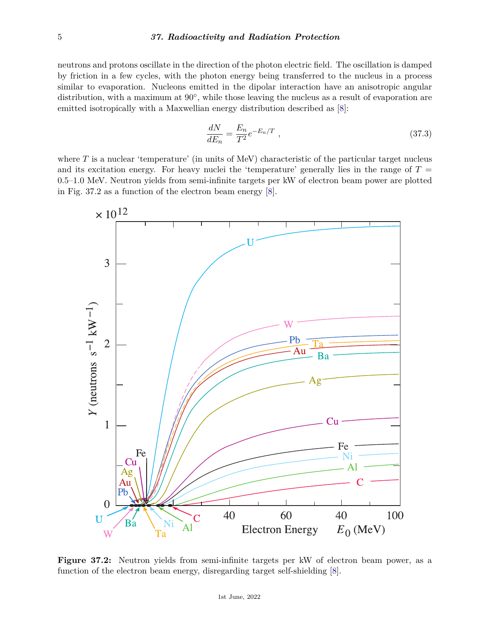neutrons and protons oscillate in the direction of the photon electric field. The oscillation is damped by friction in a few cycles, with the photon energy being transferred to the nucleus in a process similar to evaporation. Nucleons emitted in the dipolar interaction have an anisotropic angular distribution, with a maximum at 90<sup>°</sup>, while those leaving the nucleus as a result of evaporation are emitted isotropically with a Maxwellian energy distribution described as [\[8\]](#page-13-7):

$$
\frac{dN}{dE_n} = \frac{E_n}{T^2} e^{-E_n/T} \tag{37.3}
$$

where *T* is a nuclear 'temperature' (in units of MeV) characteristic of the particular target nucleus and its excitation energy. For heavy nuclei the 'temperature' generally lies in the range of  $T =$ 0*.*5–1*.*0 MeV. Neutron yields from semi-infinite targets per kW of electron beam power are plotted in Fig. 37.2 as a function of the electron beam energy [\[8\]](#page-13-7).



**Figure 37.2:** Neutron yields from semi-infinite targets per kW of electron beam power, as a function of the electron beam energy, disregarding target self-shielding [\[8\]](#page-13-7).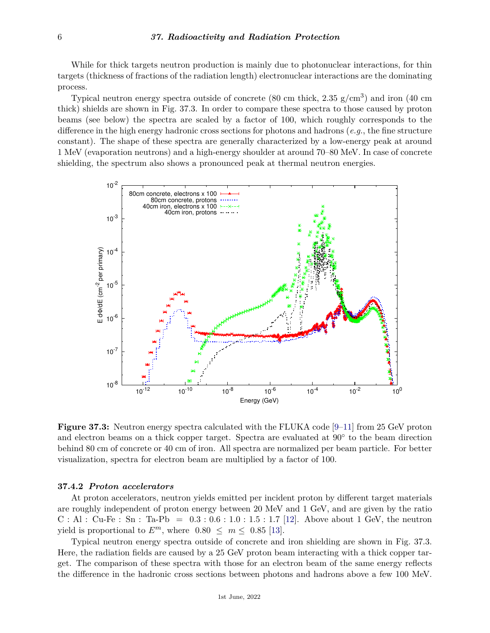While for thick targets neutron production is mainly due to photonuclear interactions, for thin targets (thickness of fractions of the radiation length) electronuclear interactions are the dominating process.

Typical neutron energy spectra outside of concrete (80 cm thick,  $2.35 \text{ g/cm}^3$ ) and iron (40 cm thick) shields are shown in Fig. 37.3. In order to compare these spectra to those caused by proton beams (see below) the spectra are scaled by a factor of 100, which roughly corresponds to the difference in the high energy hadronic cross sections for photons and hadrons (*e.g.*, the fine structure constant). The shape of these spectra are generally characterized by a low-energy peak at around 1 MeV (evaporation neutrons) and a high-energy shoulder at around 70–80 MeV. In case of concrete shielding, the spectrum also shows a pronounced peak at thermal neutron energies.



**Figure 37.3:** Neutron energy spectra calculated with the FLUKA code [\[9–](#page-13-8)[11\]](#page-13-9) from 25 GeV proton and electron beams on a thick copper target. Spectra are evaluated at  $90^{\circ}$  to the beam direction behind 80 cm of concrete or 40 cm of iron. All spectra are normalized per beam particle. For better visualization, spectra for electron beam are multiplied by a factor of 100.

#### **37.4.2** *Proton accelerators*

At proton accelerators, neutron yields emitted per incident proton by different target materials are roughly independent of proton energy between 20 MeV and 1 GeV, and are given by the ratio C : Al : Cu-Fe : Sn : Ta-Pb = 0*.*3 : 0*.*6 : 1*.*0 : 1*.*5 : 1*.*7 [\[12\]](#page-13-10). Above about 1 GeV, the neutron yield is proportional to  $E^m$ , where  $0.80 \leq m \leq 0.85$  [\[13\]](#page-13-11).

Typical neutron energy spectra outside of concrete and iron shielding are shown in Fig. 37.3. Here, the radiation fields are caused by a 25 GeV proton beam interacting with a thick copper target. The comparison of these spectra with those for an electron beam of the same energy reflects the difference in the hadronic cross sections between photons and hadrons above a few 100 MeV.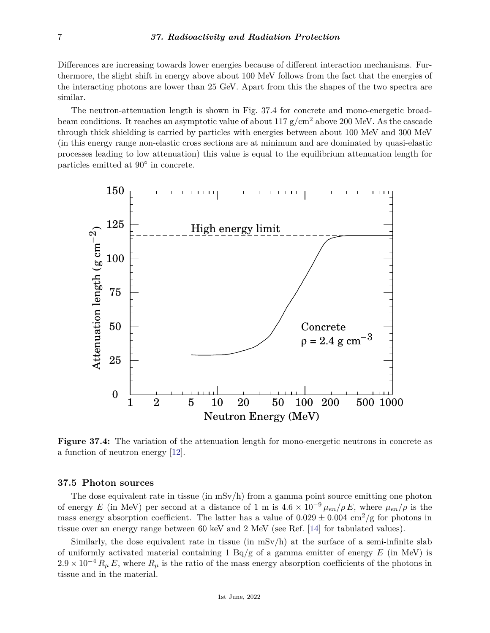Differences are increasing towards lower energies because of different interaction mechanisms. Furthermore, the slight shift in energy above about 100 MeV follows from the fact that the energies of the interacting photons are lower than 25 GeV. Apart from this the shapes of the two spectra are similar.

The neutron-attenuation length is shown in Fig. 37.4 for concrete and mono-energetic broadbeam conditions. It reaches an asymptotic value of about 117  $g/cm^2$  above 200 MeV. As the cascade through thick shielding is carried by particles with energies between about 100 MeV and 300 MeV (in this energy range non-elastic cross sections are at minimum and are dominated by quasi-elastic processes leading to low attenuation) this value is equal to the equilibrium attenuation length for particles emitted at 90◦ in concrete.



**Figure 37.4:** The variation of the attenuation length for mono-energetic neutrons in concrete as a function of neutron energy [\[12\]](#page-13-10).

# **37.5 Photon sources**

The dose equivalent rate in tissue (in  $mSv/h$ ) from a gamma point source emitting one photon of energy *E* (in MeV) per second at a distance of 1 m is  $4.6 \times 10^{-9} \mu_{en}/\rho E$ , where  $\mu_{en}/\rho$  is the mass energy absorption coefficient. The latter has a value of  $0.029 \pm 0.004$  cm<sup>2</sup>/g for photons in tissue over an energy range between 60 keV and 2 MeV (see Ref. [\[14\]](#page-13-12) for tabulated values).

Similarly, the dose equivalent rate in tissue (in  $mSv/h$ ) at the surface of a semi-infinite slab of uniformly activated material containing 1 Bq/g of a gamma emitter of energy *E* (in MeV) is  $2.9 \times 10^{-4} R_{\mu} E$ , where  $R_{\mu}$  is the ratio of the mass energy absorption coefficients of the photons in tissue and in the material.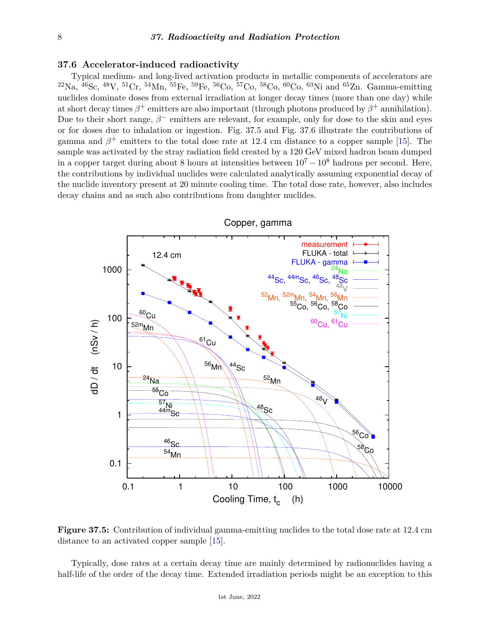# **37.6 Accelerator-induced radioactivity**

Typical medium- and long-lived activation products in metallic components of accelerators are  $^{22}\text{Na}$ ,  $^{46}\text{Sc}$ ,  $^{48}\text{V}$ ,  $^{51}\text{Cr}$ ,  $^{54}\text{Mn}$ ,  $^{55}\text{Fe}$ ,  $^{59}\text{Fe}$ ,  $^{56}\text{Co}$ ,  $^{57}\text{Co}$ ,  $^{58}\text{Co}$ ,  $^{60}\text{Co}$ ,  $^{63}\text{Ni}$  and  $^{65}\text{Zn}$ . Gamma-emitting nuclides dominate doses from external irradiation at longer decay times (more than one day) while at short decay times  $\beta^+$  emitters are also important (through photons produced by  $\beta^+$  annihilation). Due to their short range,  $\beta^-$  emitters are relevant, for example, only for dose to the skin and eyes or for doses due to inhalation or ingestion. Fig. 37.5 and Fig. 37.6 illustrate the contributions of gamma and  $\beta^+$  emitters to the total dose rate at 12.4 cm distance to a copper sample [\[15\]](#page-13-13). The sample was activated by the stray radiation field created by a 120 GeV mixed hadron beam dumped in a copper target during about 8 hours at intensities between  $10^7 - 10^8$  hadrons per second. Here, the contributions by individual nuclides were calculated analytically assuming exponential decay of the nuclide inventory present at 20 minute cooling time. The total dose rate, however, also includes decay chains and as such also contributions from daughter nuclides.



**Figure 37.5:** Contribution of individual gamma-emitting nuclides to the total dose rate at 12.4 cm distance to an activated copper sample [\[15\]](#page-13-13).

Typically, dose rates at a certain decay time are mainly determined by radionuclides having a half-life of the order of the decay time. Extended irradiation periods might be an exception to this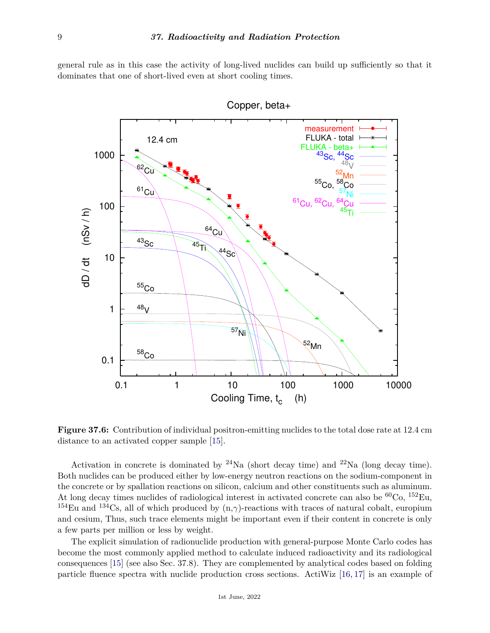general rule as in this case the activity of long-lived nuclides can build up sufficiently so that it dominates that one of short-lived even at short cooling times.



**Figure 37.6:** Contribution of individual positron-emitting nuclides to the total dose rate at 12.4 cm distance to an activated copper sample [\[15\]](#page-13-13).

Activation in concrete is dominated by  $^{24}$ Na (short decay time) and  $^{22}$ Na (long decay time). Both nuclides can be produced either by low-energy neutron reactions on the sodium-component in the concrete or by spallation reactions on silicon, calcium and other constituents such as aluminum. At long decay times nuclides of radiological interest in activated concrete can also be  ${}^{60}Co$ ,  ${}^{152}Eu$ , <sup>154</sup>Eu and <sup>134</sup>Cs, all of which produced by  $(n, \gamma)$ -reactions with traces of natural cobalt, europium and cesium, Thus, such trace elements might be important even if their content in concrete is only a few parts per million or less by weight.

The explicit simulation of radionuclide production with general-purpose Monte Carlo codes has become the most commonly applied method to calculate induced radioactivity and its radiological consequences [\[15\]](#page-13-13) (see also Sec. 37.8). They are complemented by analytical codes based on folding particle fluence spectra with nuclide production cross sections. ActiWiz [\[16,](#page-13-14) [17\]](#page-13-15) is an example of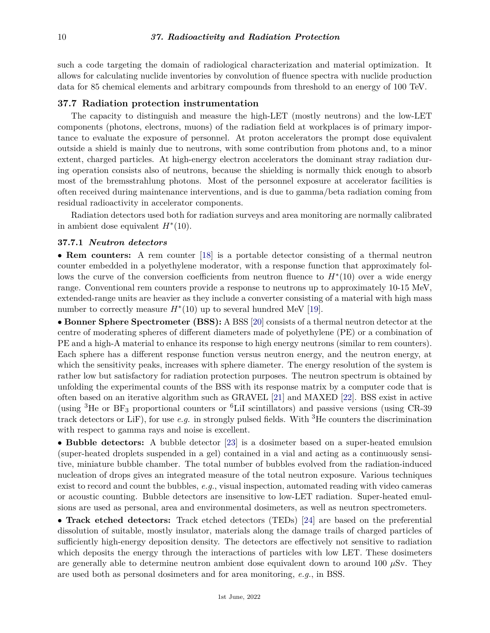such a code targeting the domain of radiological characterization and material optimization. It allows for calculating nuclide inventories by convolution of fluence spectra with nuclide production data for 85 chemical elements and arbitrary compounds from threshold to an energy of 100 TeV.

# **37.7 Radiation protection instrumentation**

The capacity to distinguish and measure the high-LET (mostly neutrons) and the low-LET components (photons, electrons, muons) of the radiation field at workplaces is of primary importance to evaluate the exposure of personnel. At proton accelerators the prompt dose equivalent outside a shield is mainly due to neutrons, with some contribution from photons and, to a minor extent, charged particles. At high-energy electron accelerators the dominant stray radiation during operation consists also of neutrons, because the shielding is normally thick enough to absorb most of the bremsstrahlung photons. Most of the personnel exposure at accelerator facilities is often received during maintenance interventions, and is due to gamma/beta radiation coming from residual radioactivity in accelerator components.

Radiation detectors used both for radiation surveys and area monitoring are normally calibrated in ambient dose equivalent  $H^*(10)$ .

#### **37.7.1** *Neutron detectors*

• **Rem counters:** A rem counter [\[18\]](#page-13-16) is a portable detector consisting of a thermal neutron counter embedded in a polyethylene moderator, with a response function that approximately follows the curve of the conversion coefficients from neutron fluence to *H*<sup>∗</sup> (10) over a wide energy range. Conventional rem counters provide a response to neutrons up to approximately 10-15 MeV, extended-range units are heavier as they include a converter consisting of a material with high mass number to correctly measure  $H^*(10)$  up to several hundred MeV [\[19\]](#page-13-17).

• **Bonner Sphere Spectrometer (BSS):** A BSS [\[20\]](#page-13-18) consists of a thermal neutron detector at the centre of moderating spheres of different diameters made of polyethylene (PE) or a combination of PE and a high-A material to enhance its response to high energy neutrons (similar to rem counters). Each sphere has a different response function versus neutron energy, and the neutron energy, at which the sensitivity peaks, increases with sphere diameter. The energy resolution of the system is rather low but satisfactory for radiation protection purposes. The neutron spectrum is obtained by unfolding the experimental counts of the BSS with its response matrix by a computer code that is often based on an iterative algorithm such as GRAVEL [\[21\]](#page-13-19) and MAXED [\[22\]](#page-13-20). BSS exist in active (using  ${}^{3}$ He or BF<sub>3</sub> proportional counters or  ${}^{6}$ LiI scintillators) and passive versions (using CR-39 track detectors or LiF), for use *e.g.* in strongly pulsed fields. With <sup>3</sup>He counters the discrimination with respect to gamma rays and noise is excellent.

• **Bubble detectors:** A bubble detector [\[23\]](#page-13-21) is a dosimeter based on a super-heated emulsion (super-heated droplets suspended in a gel) contained in a vial and acting as a continuously sensitive, miniature bubble chamber. The total number of bubbles evolved from the radiation-induced nucleation of drops gives an integrated measure of the total neutron exposure. Various techniques exist to record and count the bubbles, *e.g.*, visual inspection, automated reading with video cameras or acoustic counting. Bubble detectors are insensitive to low-LET radiation. Super-heated emulsions are used as personal, area and environmental dosimeters, as well as neutron spectrometers.

• **Track etched detectors:** Track etched detectors (TEDs) [\[24\]](#page-14-0) are based on the preferential dissolution of suitable, mostly insulator, materials along the damage trails of charged particles of sufficiently high-energy deposition density. The detectors are effectively not sensitive to radiation which deposits the energy through the interactions of particles with low LET. These dosimeters are generally able to determine neutron ambient dose equivalent down to around 100  $\mu$ Sv. They are used both as personal dosimeters and for area monitoring, *e.g.*, in BSS.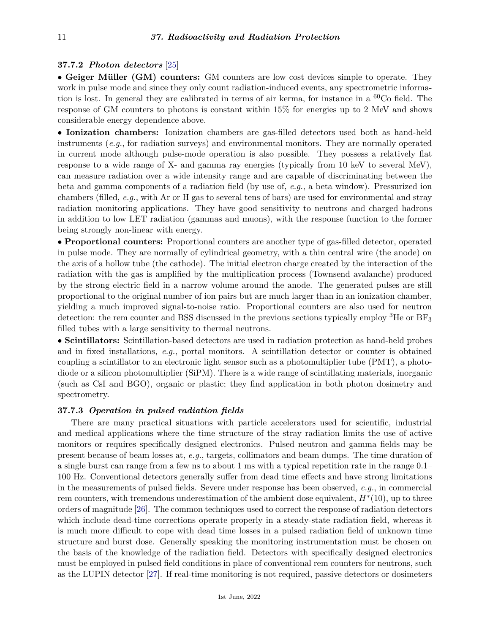# **37.7.2** *Photon detectors* [\[25\]](#page-14-1)

• **Geiger Müller (GM) counters:** GM counters are low cost devices simple to operate. They work in pulse mode and since they only count radiation-induced events, any spectrometric information is lost. In general they are calibrated in terms of air kerma, for instance in a  ${}^{60}Co$  field. The response of GM counters to photons is constant within 15% for energies up to 2 MeV and shows considerable energy dependence above.

• **Ionization chambers:** Ionization chambers are gas-filled detectors used both as hand-held instruments (*e.g.*, for radiation surveys) and environmental monitors. They are normally operated in current mode although pulse-mode operation is also possible. They possess a relatively flat response to a wide range of X- and gamma ray energies (typically from 10 keV to several MeV), can measure radiation over a wide intensity range and are capable of discriminating between the beta and gamma components of a radiation field (by use of, *e.g.*, a beta window). Pressurized ion chambers (filled, *e.g.*, with Ar or H gas to several tens of bars) are used for environmental and stray radiation monitoring applications. They have good sensitivity to neutrons and charged hadrons in addition to low LET radiation (gammas and muons), with the response function to the former being strongly non-linear with energy.

• **Proportional counters:** Proportional counters are another type of gas-filled detector, operated in pulse mode. They are normally of cylindrical geometry, with a thin central wire (the anode) on the axis of a hollow tube (the cathode). The initial electron charge created by the interaction of the radiation with the gas is amplified by the multiplication process (Townsend avalanche) produced by the strong electric field in a narrow volume around the anode. The generated pulses are still proportional to the original number of ion pairs but are much larger than in an ionization chamber, yielding a much improved signal-to-noise ratio. Proportional counters are also used for neutron detection: the rem counter and BSS discussed in the previous sections typically employ  ${}^{3}$ He or BF<sub>3</sub> filled tubes with a large sensitivity to thermal neutrons.

• **Scintillators:** Scintillation-based detectors are used in radiation protection as hand-held probes and in fixed installations, *e.g.*, portal monitors. A scintillation detector or counter is obtained coupling a scintillator to an electronic light sensor such as a photomultiplier tube (PMT), a photodiode or a silicon photomultiplier (SiPM). There is a wide range of scintillating materials, inorganic (such as CsI and BGO), organic or plastic; they find application in both photon dosimetry and spectrometry.

# **37.7.3** *Operation in pulsed radiation fields*

There are many practical situations with particle accelerators used for scientific, industrial and medical applications where the time structure of the stray radiation limits the use of active monitors or requires specifically designed electronics. Pulsed neutron and gamma fields may be present because of beam losses at, *e.g.*, targets, collimators and beam dumps. The time duration of a single burst can range from a few ns to about 1 ms with a typical repetition rate in the range 0.1– 100 Hz. Conventional detectors generally suffer from dead time effects and have strong limitations in the measurements of pulsed fields. Severe under response has been observed, *e.g.*, in commercial rem counters, with tremendous underestimation of the ambient dose equivalent, *H*<sup>∗</sup> (10), up to three orders of magnitude [\[26\]](#page-14-2). The common techniques used to correct the response of radiation detectors which include dead-time corrections operate properly in a steady-state radiation field, whereas it is much more difficult to cope with dead time losses in a pulsed radiation field of unknown time structure and burst dose. Generally speaking the monitoring instrumentation must be chosen on the basis of the knowledge of the radiation field. Detectors with specifically designed electronics must be employed in pulsed field conditions in place of conventional rem counters for neutrons, such as the LUPIN detector [\[27\]](#page-14-3). If real-time monitoring is not required, passive detectors or dosimeters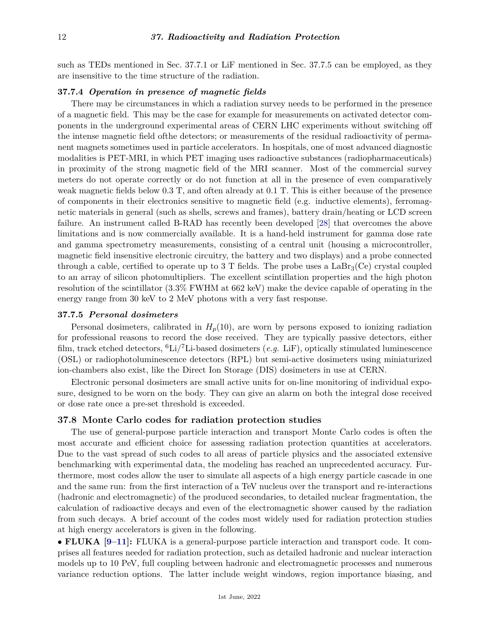such as TEDs mentioned in Sec. 37.7.1 or LiF mentioned in Sec. 37.7.5 can be employed, as they are insensitive to the time structure of the radiation.

# **37.7.4** *Operation in presence of magnetic fields*

There may be circumstances in which a radiation survey needs to be performed in the presence of a magnetic field. This may be the case for example for measurements on activated detector components in the underground experimental areas of CERN LHC experiments without switching off the intense magnetic field ofthe detectors; or measurements of the residual radioactivity of permanent magnets sometimes used in particle accelerators. In hospitals, one of most advanced diagnostic modalities is PET-MRI, in which PET imaging uses radioactive substances (radiopharmaceuticals) in proximity of the strong magnetic field of the MRI scanner. Most of the commercial survey meters do not operate correctly or do not function at all in the presence of even comparatively weak magnetic fields below 0.3 T, and often already at 0.1 T. This is either because of the presence of components in their electronics sensitive to magnetic field (e.g. inductive elements), ferromagnetic materials in general (such as shells, screws and frames), battery drain/heating or LCD screen failure. An instrument called B-RAD has recently been developed [\[28\]](#page-14-4) that overcomes the above limitations and is now commercially available. It is a hand-held instrument for gamma dose rate and gamma spectrometry measurements, consisting of a central unit (housing a microcontroller, magnetic field insensitive electronic circuitry, the battery and two displays) and a probe connected through a cable, certified to operate up to 3 T fields. The probe uses a  $LaBr<sub>3</sub>(Ce)$  crystal coupled to an array of silicon photomultipliers. The excellent scintillation properties and the high photon resolution of the scintillator (3.3% FWHM at 662 keV) make the device capable of operating in the energy range from 30 keV to 2 MeV photons with a very fast response.

## **37.7.5** *Personal dosimeters*

Personal dosimeters, calibrated in  $H_p(10)$ , are worn by persons exposed to ionizing radiation for professional reasons to record the dose received. They are typically passive detectors, either film, track etched detectors, <sup>6</sup>Li/7Li-based dosimeters (*e.g.* LiF), optically stimulated luminescence (OSL) or radiophotoluminescence detectors (RPL) but semi-active dosimeters using miniaturized ion-chambers also exist, like the Direct Ion Storage (DIS) dosimeters in use at CERN.

Electronic personal dosimeters are small active units for on-line monitoring of individual exposure, designed to be worn on the body. They can give an alarm on both the integral dose received or dose rate once a pre-set threshold is exceeded.

# **37.8 Monte Carlo codes for radiation protection studies**

The use of general-purpose particle interaction and transport Monte Carlo codes is often the most accurate and efficient choice for assessing radiation protection quantities at accelerators. Due to the vast spread of such codes to all areas of particle physics and the associated extensive benchmarking with experimental data, the modeling has reached an unprecedented accuracy. Furthermore, most codes allow the user to simulate all aspects of a high energy particle cascade in one and the same run: from the first interaction of a TeV nucleus over the transport and re-interactions (hadronic and electromagnetic) of the produced secondaries, to detailed nuclear fragmentation, the calculation of radioactive decays and even of the electromagnetic shower caused by the radiation from such decays. A brief account of the codes most widely used for radiation protection studies at high energy accelerators is given in the following.

• **FLUKA [\[9–](#page-13-8)[11\]](#page-13-9):** FLUKA is a general-purpose particle interaction and transport code. It comprises all features needed for radiation protection, such as detailed hadronic and nuclear interaction models up to 10 PeV, full coupling between hadronic and electromagnetic processes and numerous variance reduction options. The latter include weight windows, region importance biasing, and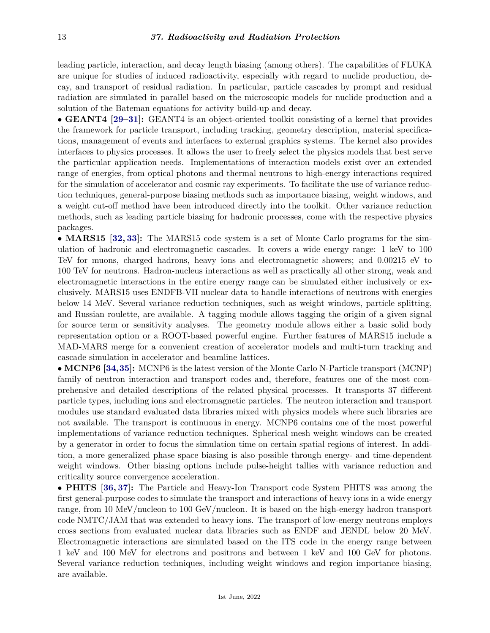leading particle, interaction, and decay length biasing (among others). The capabilities of FLUKA are unique for studies of induced radioactivity, especially with regard to nuclide production, decay, and transport of residual radiation. In particular, particle cascades by prompt and residual radiation are simulated in parallel based on the microscopic models for nuclide production and a solution of the Bateman equations for activity build-up and decay.

• **GEANT4 [\[29](#page-14-5)[–31\]](#page-14-6):** GEANT4 is an object-oriented toolkit consisting of a kernel that provides the framework for particle transport, including tracking, geometry description, material specifications, management of events and interfaces to external graphics systems. The kernel also provides interfaces to physics processes. It allows the user to freely select the physics models that best serve the particular application needs. Implementations of interaction models exist over an extended range of energies, from optical photons and thermal neutrons to high-energy interactions required for the simulation of accelerator and cosmic ray experiments. To facilitate the use of variance reduction techniques, general-purpose biasing methods such as importance biasing, weight windows, and a weight cut-off method have been introduced directly into the toolkit. Other variance reduction methods, such as leading particle biasing for hadronic processes, come with the respective physics packages.

• **MARS15 [\[32,](#page-14-7) [33\]](#page-14-8):** The MARS15 code system is a set of Monte Carlo programs for the simulation of hadronic and electromagnetic cascades. It covers a wide energy range: 1 keV to 100 TeV for muons, charged hadrons, heavy ions and electromagnetic showers; and 0.00215 eV to 100 TeV for neutrons. Hadron-nucleus interactions as well as practically all other strong, weak and electromagnetic interactions in the entire energy range can be simulated either inclusively or exclusively. MARS15 uses ENDFB-VII nuclear data to handle interactions of neutrons with energies below 14 MeV. Several variance reduction techniques, such as weight windows, particle splitting, and Russian roulette, are available. A tagging module allows tagging the origin of a given signal for source term or sensitivity analyses. The geometry module allows either a basic solid body representation option or a ROOT-based powerful engine. Further features of MARS15 include a MAD-MARS merge for a convenient creation of accelerator models and multi-turn tracking and cascade simulation in accelerator and beamline lattices.

• **MCNP6 [\[34,](#page-14-9)[35\]](#page-14-10):** MCNP6 is the latest version of the Monte Carlo N-Particle transport (MCNP) family of neutron interaction and transport codes and, therefore, features one of the most comprehensive and detailed descriptions of the related physical processes. It transports 37 different particle types, including ions and electromagnetic particles. The neutron interaction and transport modules use standard evaluated data libraries mixed with physics models where such libraries are not available. The transport is continuous in energy. MCNP6 contains one of the most powerful implementations of variance reduction techniques. Spherical mesh weight windows can be created by a generator in order to focus the simulation time on certain spatial regions of interest. In addition, a more generalized phase space biasing is also possible through energy- and time-dependent weight windows. Other biasing options include pulse-height tallies with variance reduction and criticality source convergence acceleration.

• **PHITS [\[36,](#page-14-11) [37\]](#page-14-12):** The Particle and Heavy-Ion Transport code System PHITS was among the first general-purpose codes to simulate the transport and interactions of heavy ions in a wide energy range, from 10 MeV/nucleon to 100 GeV/nucleon. It is based on the high-energy hadron transport code NMTC/JAM that was extended to heavy ions. The transport of low-energy neutrons employs cross sections from evaluated nuclear data libraries such as ENDF and JENDL below 20 MeV. Electromagnetic interactions are simulated based on the ITS code in the energy range between 1 keV and 100 MeV for electrons and positrons and between 1 keV and 100 GeV for photons. Several variance reduction techniques, including weight windows and region importance biasing, are available.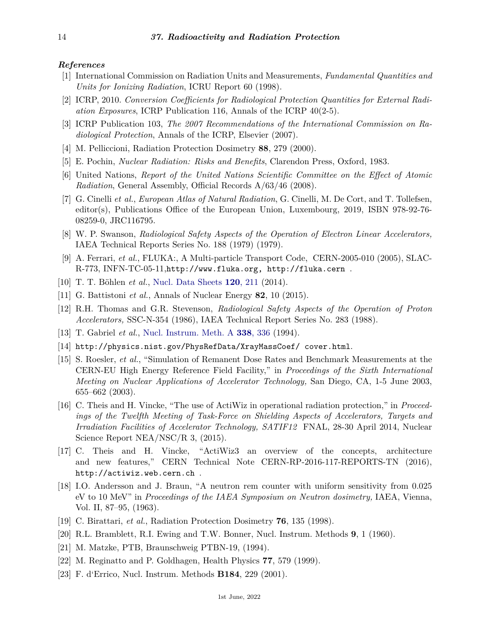#### <span id="page-13-0"></span>*References*

- [1] International Commission on Radiation Units and Measurements, *Fundamental Quantities and Units for Ionizing Radiation*, ICRU Report 60 (1998).
- <span id="page-13-2"></span>[2] ICRP, 2010. *Conversion Coefficients for Radiological Protection Quantities for External Radiation Exposures*, ICRP Publication 116, Annals of the ICRP 40(2-5).
- <span id="page-13-1"></span>[3] ICRP Publication 103, *The 2007 Recommendations of the International Commission on Radiological Protection*, Annals of the ICRP, Elsevier (2007).
- <span id="page-13-4"></span><span id="page-13-3"></span>[4] M. Pelliccioni, Radiation Protection Dosimetry **88**, 279 (2000).
- [5] E. Pochin, *Nuclear Radiation: Risks and Benefits*, Clarendon Press, Oxford, 1983.
- <span id="page-13-5"></span>[6] United Nations, *Report of the United Nations Scientific Committee on the Effect of Atomic Radiation*, General Assembly, Official Records A/63/46 (2008).
- <span id="page-13-6"></span>[7] G. Cinelli *et al.*, *European Atlas of Natural Radiation*, G. Cinelli, M. De Cort, and T. Tollefsen, editor(s), Publications Office of the European Union, Luxembourg, 2019, ISBN 978-92-76- 08259-0, JRC116795.
- <span id="page-13-7"></span>[8] W. P. Swanson, *Radiological Safety Aspects of the Operation of Electron Linear Accelerators,* IAEA Technical Reports Series No. 188 (1979) (1979).
- <span id="page-13-8"></span>[9] A. Ferrari, *et al.*, FLUKA:, A Multi-particle Transport Code, CERN-2005-010 (2005), SLAC-R-773, INFN-TC-05-11,http://www.fluka.org, http://fluka.cern .
- [10] T. T. Böhlen *et al.*, [Nucl. Data Sheets](http://doi.org/10.1016/j.nds.2014.07.049) **120**[, 211](http://doi.org/10.1016/j.nds.2014.07.049) (2014).
- <span id="page-13-9"></span>[11] G. Battistoni *et al.*, Annals of Nuclear Energy **82**, 10 (2015).
- <span id="page-13-10"></span>[12] R.H. Thomas and G.R. Stevenson, *Radiological Safety Aspects of the Operation of Proton Accelerators,* SSC-N-354 (1986), IAEA Technical Report Series No. 283 (1988).
- <span id="page-13-11"></span>[13] T. Gabriel *et al.*, [Nucl. Instrum. Meth. A](http://doi.org/10.1016/0168-9002(94)91317-X) **338**[, 336](http://doi.org/10.1016/0168-9002(94)91317-X) (1994).
- <span id="page-13-12"></span>[14] http://physics.nist.gov/PhysRefData/XrayMassCoef/ cover.html.
- <span id="page-13-13"></span>[15] S. Roesler, *et al.*, "Simulation of Remanent Dose Rates and Benchmark Measurements at the CERN-EU High Energy Reference Field Facility," in *Proceedings of the Sixth International Meeting on Nuclear Applications of Accelerator Technology,* San Diego, CA, 1-5 June 2003, 655–662 (2003).
- <span id="page-13-14"></span>[16] C. Theis and H. Vincke, "The use of ActiWiz in operational radiation protection," in *Proceedings of the Twelfth Meeting of Task-Force on Shielding Aspects of Accelerators, Targets and Irradiation Facilities of Accelerator Technology, SATIF12* FNAL, 28-30 April 2014, Nuclear Science Report NEA/NSC/R 3, (2015).
- <span id="page-13-15"></span>[17] C. Theis and H. Vincke, "ActiWiz3 an overview of the concepts, architecture and new features," CERN Technical Note CERN-RP-2016-117-REPORTS-TN (2016), http://actiwiz.web.cern.ch .
- <span id="page-13-16"></span>[18] I.O. Andersson and J. Braun, "A neutron rem counter with uniform sensitivity from 0.025 eV to 10 MeV" in *Proceedings of the IAEA Symposium on Neutron dosimetry,* IAEA, Vienna, Vol. II, 87–95, (1963).
- <span id="page-13-17"></span>[19] C. Birattari, *et al.*, Radiation Protection Dosimetry **76**, 135 (1998).
- <span id="page-13-19"></span><span id="page-13-18"></span>[20] R.L. Bramblett, R.I. Ewing and T.W. Bonner, Nucl. Instrum. Methods **9**, 1 (1960).
- [21] M. Matzke, PTB, Braunschweig PTBN-19, (1994).
- <span id="page-13-20"></span>[22] M. Reginatto and P. Goldhagen, Health Physics **77**, 579 (1999).
- <span id="page-13-21"></span>[23] F. d'Errico, Nucl. Instrum. Methods **B184**, 229 (2001).